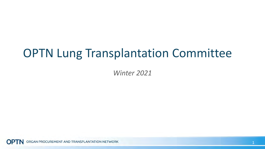## OPTN Lung Transplantation Committee

*Winter 2021*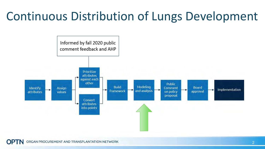# Continuous Distribution of Lungs Development

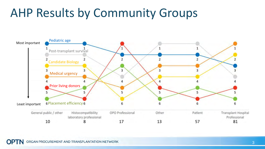## AHP Results by Community Groups

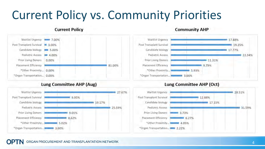# Current Policy vs. Community Priorities

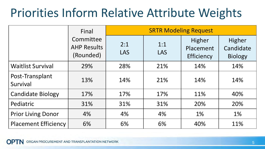# Priorities Inform Relative Attribute Weights

|                             | Final                                        | <b>SRTR Modeling Request</b> |                   |                                   |                                       |
|-----------------------------|----------------------------------------------|------------------------------|-------------------|-----------------------------------|---------------------------------------|
|                             | Committee<br><b>AHP Results</b><br>(Rounded) | 2:1<br><b>LAS</b>            | 1:1<br><b>LAS</b> | Higher<br>Placement<br>Efficiency | Higher<br>Candidate<br><b>Biology</b> |
| <b>Waitlist Survival</b>    | 29%                                          | 28%                          | 21%               | 14%                               | 14%                                   |
| Post-Transplant<br>Survival | 13%                                          | 14%                          | 21%               | 14%                               | 14%                                   |
| <b>Candidate Biology</b>    | 17%                                          | 17%                          | 17%               | 11%                               | 40%                                   |
| Pediatric                   | 31%                                          | 31%                          | 31%               | 20%                               | 20%                                   |
| <b>Prior Living Donor</b>   | 4%                                           | 4%                           | 4%                | 1%                                | 1%                                    |
| <b>Placement Efficiency</b> | 6%                                           | 6%                           | 6%                | 40%                               | 11%                                   |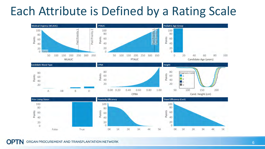## Each Attribute is Defined by a Rating Scale

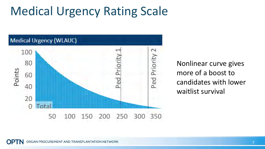# Medical Urgency Rating Scale



Nonlinear curve gives more of a boost to candidates with lower waitlist survival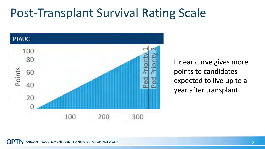## Post-Transplant Survival Rating Scale



Linear curve gives more points to candidates expected to live up to a year after transplant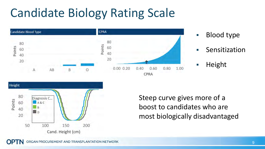# Candidate Biology Rating Scale



- Blood type
- Sensitization
- **Height**

Steep curve gives more of a boost to candidates who are most biologically disadvantaged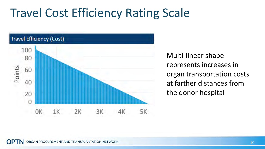## Travel Cost Efficiency Rating Scale



Multi-linear shape represents increases in organ transportation costs at farther distances from the donor hospital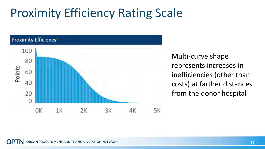# Proximity Efficiency Rating Scale



Multi-curve shape represents increases in inefficiencies (other than costs) at farther distances from the donor hospital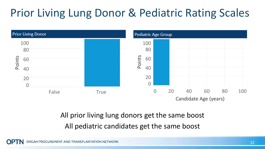## Prior Living Lung Donor & Pediatric Rating Scales



#### All prior living lung donors get the same boost All pediatric candidates get the same boost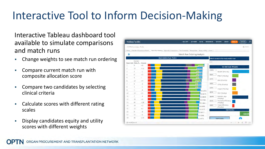## Interactive Tool to Inform Decision-Making

Interactive Tableau dashboard tool available to simulate comparisons and match runs

- **EXED 10 Change weights to see match run ordering**
- Compare current match run with composite allocation score
- **EXECOMPARE TWO candidates by selecting** clinical criteria
- **EXEC** Calculate scores with different rating scales
- Display candidates equity and utility scores with different weights